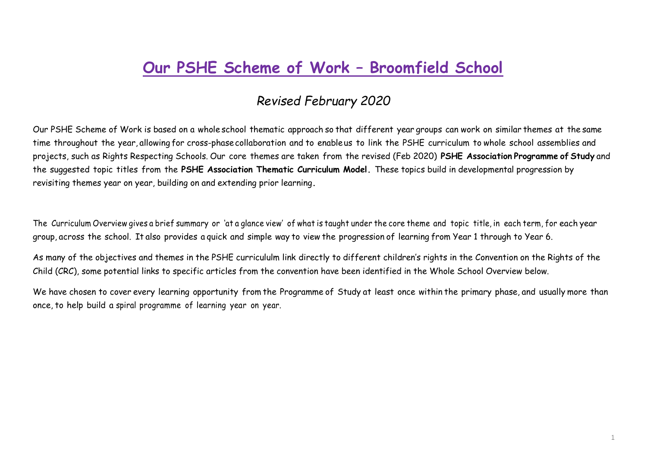## **Our PSHE Scheme of Work – Broomfield School**

## *Revised February 2020*

Our PSHE Scheme of Work is based on a whole school thematic approach so that different year groups can work on similar themes at the same time throughout the year, allowing for cross-phasecollaboration and to enableus to link the PSHE curriculum to whole school assemblies and projects, such as Rights Respecting Schools. Our core themes are taken from the revised (Feb 2020) **[PSHE](https://www.pshe-association.org.uk/curriculum-and-resources/resources/programme-study-pshe-education-key-stages-1%E2%80%935) [Association](https://www.pshe-association.org.uk/curriculum-and-resources/resources/programme-study-pshe-education-key-stages-1%E2%80%935) Programme of Study** and the suggested topic titles from the **PSHE [Association Thematic Curriculum Model.](https://www.pshe-association.org.uk/curriculum-and-resources/resources/scheme-work-planning-toolkit-key-stages-1-and-2)** These topics build in developmental progression by revisiting themes year on [year, building on and extending prior learning](https://www.pshe-association.org.uk/curriculum-and-resources/resources/scheme-work-planning-toolkit-key-stages-1-and-2)**.** 

The Curriculum Overview gives a brief summary or 'at a glance view' of what is taught under the core theme and topic title, in each term, for each year group, across the school. It also provides a quick and simple way to view the progression of learning from Year 1 through to Year 6.

As many of the objectives and themes in the PSHE curricululm link directly to different children's rights in the Convention on the Rights of the Child (CRC), some potential links to specific articles from the convention have been identified in the Whole School Overview below.

We have chosen to cover every learning opportunity from the Programme of Study at least once within the primary phase, and usually more than once, to help build a spiral programme of learning year on year.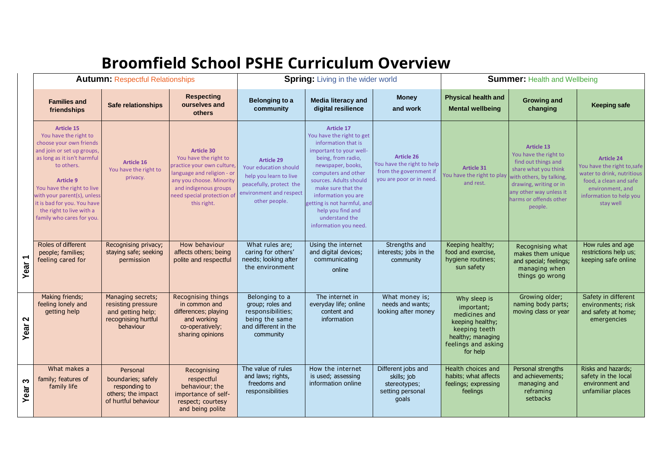## **Broomfield School PSHE Curriculum Overview**

|                                  | <b>Autumn: Respectful Relationships</b>                                                                                                                                                                                                                                                                            |                                                                                                  |                                                                                                                                                                                                          | <b>Spring:</b> Living in the wider world                                                                                                    |                                                                                                                                                                                                                                                                                                                                          |                                                                                                       | <b>Summer: Health and Wellbeing</b>                                                                                                      |                                                                                                                                                                                                                 |                                                                                                                                                                      |
|----------------------------------|--------------------------------------------------------------------------------------------------------------------------------------------------------------------------------------------------------------------------------------------------------------------------------------------------------------------|--------------------------------------------------------------------------------------------------|----------------------------------------------------------------------------------------------------------------------------------------------------------------------------------------------------------|---------------------------------------------------------------------------------------------------------------------------------------------|------------------------------------------------------------------------------------------------------------------------------------------------------------------------------------------------------------------------------------------------------------------------------------------------------------------------------------------|-------------------------------------------------------------------------------------------------------|------------------------------------------------------------------------------------------------------------------------------------------|-----------------------------------------------------------------------------------------------------------------------------------------------------------------------------------------------------------------|----------------------------------------------------------------------------------------------------------------------------------------------------------------------|
|                                  | <b>Families and</b><br>friendships                                                                                                                                                                                                                                                                                 | Safe relationships                                                                               | <b>Respecting</b><br>ourselves and<br>others                                                                                                                                                             | <b>Belonging to a</b><br>community                                                                                                          | <b>Media literacy and</b><br>digital resilience                                                                                                                                                                                                                                                                                          | <b>Money</b><br>and work                                                                              | <b>Physical health and</b><br><b>Mental wellbeing</b>                                                                                    | <b>Growing and</b><br>changing                                                                                                                                                                                  | <b>Keeping safe</b>                                                                                                                                                  |
|                                  | <b>Article 15</b><br>You have the right to<br>choose your own friends<br>and join or set up groups,<br>as long as it isn't harmful<br>to others.<br>Article 9<br>You have the right to live<br>with your parent(s), unless<br>it is bad for you. You have<br>the right to live with a<br>family who cares for you. | <b>Article 16</b><br>You have the right to<br>privacy.                                           | <b>Article 30</b><br>You have the right to<br>practice your own culture,<br>language and religion - or<br>any you choose. Minority<br>and indigenous groups<br>need special protection of<br>this right. | <b>Article 29</b><br>Your education should<br>help you learn to live<br>peacefully, protect the<br>environment and respect<br>other people. | <b>Article 17</b><br>You have the right to get<br>information that is<br>important to your well-<br>being, from radio,<br>newspaper, books,<br>computers and other<br>sources. Adults should<br>make sure that the<br>information you are<br>getting is not harmful, and<br>help you find and<br>understand the<br>information you need. | <b>Article 26</b><br>You have the right to help<br>from the government if<br>you are poor or in need. | <b>Article 31</b><br>You have the right to play<br>and rest.                                                                             | <b>Article 13</b><br>You have the right to<br>find out things and<br>share what you think<br>with others, by talking,<br>drawing, writing or in<br>any other way unless it<br>harms or offends other<br>people. | <b>Article 24</b><br>You have the right to, safe<br>water to drink, nutritious<br>food, a clean and safe<br>environment, and<br>information to help you<br>stay well |
| $\overline{\phantom{0}}$<br>Year | Roles of different<br>people; families;<br>feeling cared for                                                                                                                                                                                                                                                       | Recognising privacy;<br>staying safe; seeking<br>permission                                      | How behaviour<br>affects others; being<br>polite and respectful                                                                                                                                          | What rules are;<br>caring for others'<br>needs; looking after<br>the environment                                                            | Using the internet<br>and digital devices;<br>communicating<br>online                                                                                                                                                                                                                                                                    | Strengths and<br>interests; jobs in the<br>community                                                  | Keeping healthy;<br>food and exercise,<br>hygiene routines;<br>sun safety                                                                | Recognising what<br>makes them unique<br>and special; feelings;<br>managing when<br>things go wrong                                                                                                             | How rules and age<br>restrictions help us:<br>keeping safe online                                                                                                    |
| N<br>Year                        | Making friends;<br>feeling lonely and<br>getting help                                                                                                                                                                                                                                                              | Managing secrets;<br>resisting pressure<br>and getting help;<br>recognising hurtful<br>behaviour | Recognising things<br>in common and<br>differences; playing<br>and working<br>co-operatively;<br>sharing opinions                                                                                        | Belonging to a<br>group; roles and<br>responsibilities;<br>being the same<br>and different in the<br>community                              | The internet in<br>everyday life; online<br>content and<br>information                                                                                                                                                                                                                                                                   | What money is;<br>needs and wants;<br>looking after money                                             | Why sleep is<br>important;<br>medicines and<br>keeping healthy;<br>keeping teeth<br>healthy; managing<br>feelings and asking<br>for help | Growing older;<br>naming body parts;<br>moving class or year                                                                                                                                                    | Safety in different<br>environments; risk<br>and safety at home;<br>emergencies                                                                                      |
| က<br>Year                        | What makes a<br>family; features of<br>family life                                                                                                                                                                                                                                                                 | Personal<br>boundaries; safely<br>responding to<br>others; the impact<br>of hurtful behaviour    | Recognising<br>respectful<br>behaviour; the<br>importance of self-<br>respect; courtesy<br>and being polite                                                                                              | The value of rules<br>and laws; rights,<br>freedoms and<br>responsibilities                                                                 | How the internet<br>is used; assessing<br>information online                                                                                                                                                                                                                                                                             | Different jobs and<br>skills; job<br>stereotypes;<br>setting personal<br>goals                        | Health choices and<br>habits; what affects<br>feelings; expressing<br>feelings                                                           | Personal strengths<br>and achievements;<br>managing and<br>reframing<br>setbacks                                                                                                                                | Risks and hazards;<br>safety in the local<br>environment and<br>unfamiliar places                                                                                    |